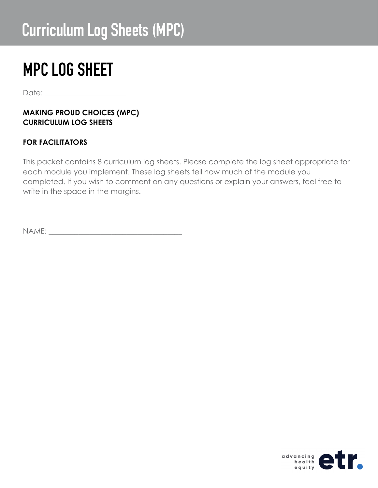## Curriculum Log Sheets (MPC)

## MPC LOG SHEET

Date:

#### **MAKING PROUD CHOICES (MPC) CURRICULUM LOG SHEETS**

### **FOR FACILITATORS**

This packet contains 8 curriculum log sheets. Please complete the log sheet appropriate for each module you implement. These log sheets tell how much of the module you completed. If you wish to comment on any questions or explain your answers, feel free to write in the space in the margins.

NAME: \_\_\_\_\_\_\_\_\_\_\_\_\_\_\_\_\_\_\_\_\_\_\_\_\_\_\_\_\_\_\_\_\_\_\_\_

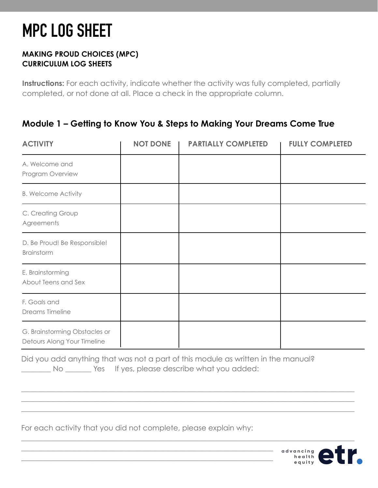#### **MAKING PROUD CHOICES (MPC) CURRICULUM LOG SHEETS**

**Instructions:** For each activity, indicate whether the activity was fully completed, partially completed, or not done at all. Place a check in the appropriate column.

## **Module 1 – Getting to Know You & Steps to Making Your Dreams Come True**

| <b>ACTIVITY</b>                                              | <b>NOT DONE</b> | <b>PARTIALLY COMPLETED</b> | <b>FULLY COMPLETED</b> |
|--------------------------------------------------------------|-----------------|----------------------------|------------------------|
| A. Welcome and<br>Program Overview                           |                 |                            |                        |
| <b>B. Welcome Activity</b>                                   |                 |                            |                        |
| C. Creating Group<br>Agreements                              |                 |                            |                        |
| D. Be Proud! Be Responsible!<br>Brainstorm                   |                 |                            |                        |
| E. Brainstorming<br>About Teens and Sex                      |                 |                            |                        |
| F. Goals and<br>Dreams Timeline                              |                 |                            |                        |
| G. Brainstorming Obstacles or<br>Detours Along Your Timeline |                 |                            |                        |

Did you add anything that was not a part of this module as written in the manual? No Wes If yes, please describe what you added:

\_\_\_\_\_\_\_\_\_\_\_\_\_\_\_\_\_\_\_\_\_\_\_\_\_\_\_\_\_\_\_\_\_\_\_\_\_\_\_\_\_\_\_\_\_\_\_\_\_\_\_\_\_\_\_\_\_\_\_\_\_\_\_\_\_\_\_\_\_\_\_\_\_\_\_\_\_\_\_\_\_\_\_\_\_\_\_\_\_\_ \_\_\_\_\_\_\_\_\_\_\_\_\_\_\_\_\_\_\_\_\_\_\_\_\_\_\_\_\_\_\_\_\_\_\_\_\_\_\_\_\_\_\_\_\_\_\_\_\_\_\_\_\_\_\_\_\_\_\_\_\_\_\_\_\_\_\_\_\_\_\_\_\_\_\_\_\_\_\_\_\_\_\_\_\_\_\_\_\_\_ \_\_\_\_\_\_\_\_\_\_\_\_\_\_\_\_\_\_\_\_\_\_\_\_\_\_\_\_\_\_\_\_\_\_\_\_\_\_\_\_\_\_\_\_\_\_\_\_\_\_\_\_\_\_\_\_\_\_\_\_\_\_\_\_\_\_\_\_\_\_\_\_\_\_\_\_\_\_\_\_\_\_\_\_\_\_\_\_\_\_

 $\_$  , and the set of the set of the set of the set of the set of the set of the set of the set of the set of the set of the set of the set of the set of the set of the set of the set of the set of the set of the set of th

For each activity that you did not complete, please explain why:

\_\_\_\_\_\_\_\_\_\_\_\_\_\_\_\_\_\_\_\_\_\_\_\_\_\_\_\_\_\_\_\_\_\_\_\_\_\_\_\_\_\_\_\_\_\_\_\_\_\_\_\_\_\_\_\_\_\_\_\_\_\_\_\_\_\_\_\_  $\_$  , and the contribution of the contribution of  $\mathcal{L}_\mathcal{A}$  , and the contribution of  $\mathcal{L}_\mathcal{A}$ 

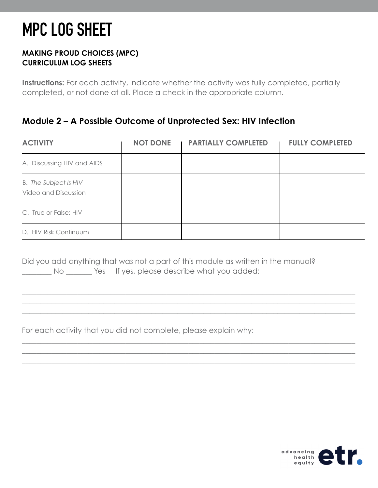#### **MAKING PROUD CHOICES (MPC) CURRICULUM LOG SHEETS**

**Instructions:** For each activity, indicate whether the activity was fully completed, partially completed, or not done at all. Place a check in the appropriate column.

## **Module 2 – A Possible Outcome of Unprotected Sex: HIV Infection**

| <b>ACTIVITY</b>                                      | <b>NOT DONE</b> | <b>PARTIALLY COMPLETED</b> | <b>FULLY COMPLETED</b> |
|------------------------------------------------------|-----------------|----------------------------|------------------------|
| A. Discussing HIV and AIDS                           |                 |                            |                        |
| <b>B.</b> The Subject Is HIV<br>Video and Discussion |                 |                            |                        |
| C. True or False: HIV                                |                 |                            |                        |
| D. HIV Risk Continuum                                |                 |                            |                        |

\_\_\_\_\_\_\_\_\_\_\_\_\_\_\_\_\_\_\_\_\_\_\_\_\_\_\_\_\_\_\_\_\_\_\_\_\_\_\_\_\_\_\_\_\_\_\_\_\_\_\_\_\_\_\_\_\_\_\_\_\_\_\_\_\_\_\_\_\_\_\_\_\_\_\_\_\_\_\_\_\_\_\_\_\_\_\_\_\_\_ \_\_\_\_\_\_\_\_\_\_\_\_\_\_\_\_\_\_\_\_\_\_\_\_\_\_\_\_\_\_\_\_\_\_\_\_\_\_\_\_\_\_\_\_\_\_\_\_\_\_\_\_\_\_\_\_\_\_\_\_\_\_\_\_\_\_\_\_\_\_\_\_\_\_\_\_\_\_\_\_\_\_\_\_\_\_\_\_\_\_ \_\_\_\_\_\_\_\_\_\_\_\_\_\_\_\_\_\_\_\_\_\_\_\_\_\_\_\_\_\_\_\_\_\_\_\_\_\_\_\_\_\_\_\_\_\_\_\_\_\_\_\_\_\_\_\_\_\_\_\_\_\_\_\_\_\_\_\_\_\_\_\_\_\_\_\_\_\_\_\_\_\_\_\_\_\_\_\_\_\_

\_\_\_\_\_\_\_\_\_\_\_\_\_\_\_\_\_\_\_\_\_\_\_\_\_\_\_\_\_\_\_\_\_\_\_\_\_\_\_\_\_\_\_\_\_\_\_\_\_\_\_\_\_\_\_\_\_\_\_\_\_\_\_\_\_\_\_\_\_\_\_\_\_\_\_\_\_\_\_\_\_\_\_\_\_\_\_\_\_\_ \_\_\_\_\_\_\_\_\_\_\_\_\_\_\_\_\_\_\_\_\_\_\_\_\_\_\_\_\_\_\_\_\_\_\_\_\_\_\_\_\_\_\_\_\_\_\_\_\_\_\_\_\_\_\_\_\_\_\_\_\_\_\_\_\_\_\_\_\_\_\_\_\_\_\_\_\_\_\_\_\_\_\_\_\_\_\_\_\_\_ \_\_\_\_\_\_\_\_\_\_\_\_\_\_\_\_\_\_\_\_\_\_\_\_\_\_\_\_\_\_\_\_\_\_\_\_\_\_\_\_\_\_\_\_\_\_\_\_\_\_\_\_\_\_\_\_\_\_\_\_\_\_\_\_\_\_\_\_\_\_\_\_\_\_\_\_\_\_\_\_\_\_\_\_\_\_\_\_\_\_

Did you add anything that was not a part of this module as written in the manual? \_\_\_\_\_\_\_\_ No \_\_\_\_\_\_\_ Yes If yes, please describe what you added:

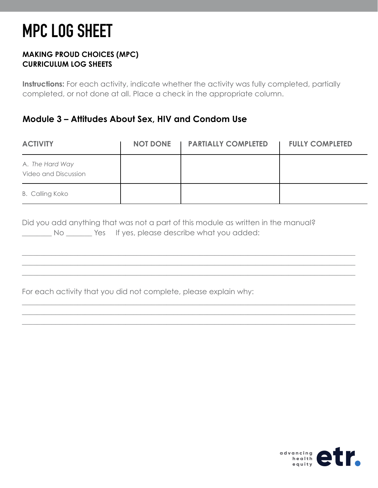#### **MAKING PROUD CHOICES (MPC) CURRICULUM LOG SHEETS**

**Instructions:** For each activity, indicate whether the activity was fully completed, partially completed, or not done at all. Place a check in the appropriate column.

### **Module 3 – Attitudes About Sex, HIV and Condom Use**

| <b>ACTIVITY</b>                         | <b>NOT DONE</b><br>$\mathbf{I}$ | <b>PARTIALLY COMPLETED</b> | <b>FULLY COMPLETED</b> |
|-----------------------------------------|---------------------------------|----------------------------|------------------------|
| A. The Hard Way<br>Video and Discussion |                                 |                            |                        |
| <b>B. Calling Koko</b>                  |                                 |                            |                        |

\_\_\_\_\_\_\_\_\_\_\_\_\_\_\_\_\_\_\_\_\_\_\_\_\_\_\_\_\_\_\_\_\_\_\_\_\_\_\_\_\_\_\_\_\_\_\_\_\_\_\_\_\_\_\_\_\_\_\_\_\_\_\_\_\_\_\_\_\_\_\_\_\_\_\_\_\_\_\_\_\_\_\_\_\_\_\_\_\_\_ \_\_\_\_\_\_\_\_\_\_\_\_\_\_\_\_\_\_\_\_\_\_\_\_\_\_\_\_\_\_\_\_\_\_\_\_\_\_\_\_\_\_\_\_\_\_\_\_\_\_\_\_\_\_\_\_\_\_\_\_\_\_\_\_\_\_\_\_\_\_\_\_\_\_\_\_\_\_\_\_\_\_\_\_\_\_\_\_\_\_ \_\_\_\_\_\_\_\_\_\_\_\_\_\_\_\_\_\_\_\_\_\_\_\_\_\_\_\_\_\_\_\_\_\_\_\_\_\_\_\_\_\_\_\_\_\_\_\_\_\_\_\_\_\_\_\_\_\_\_\_\_\_\_\_\_\_\_\_\_\_\_\_\_\_\_\_\_\_\_\_\_\_\_\_\_\_\_\_\_\_

\_\_\_\_\_\_\_\_\_\_\_\_\_\_\_\_\_\_\_\_\_\_\_\_\_\_\_\_\_\_\_\_\_\_\_\_\_\_\_\_\_\_\_\_\_\_\_\_\_\_\_\_\_\_\_\_\_\_\_\_\_\_\_\_\_\_\_\_\_\_\_\_\_\_\_\_\_\_\_\_\_\_\_\_\_\_\_\_\_\_ \_\_\_\_\_\_\_\_\_\_\_\_\_\_\_\_\_\_\_\_\_\_\_\_\_\_\_\_\_\_\_\_\_\_\_\_\_\_\_\_\_\_\_\_\_\_\_\_\_\_\_\_\_\_\_\_\_\_\_\_\_\_\_\_\_\_\_\_\_\_\_\_\_\_\_\_\_\_\_\_\_\_\_\_\_\_\_\_\_\_ \_\_\_\_\_\_\_\_\_\_\_\_\_\_\_\_\_\_\_\_\_\_\_\_\_\_\_\_\_\_\_\_\_\_\_\_\_\_\_\_\_\_\_\_\_\_\_\_\_\_\_\_\_\_\_\_\_\_\_\_\_\_\_\_\_\_\_\_\_\_\_\_\_\_\_\_\_\_\_\_\_\_\_\_\_\_\_\_\_\_

|    | Did you add anything that was not a part of this module as written in the manual? |  |
|----|-----------------------------------------------------------------------------------|--|
| Νo | Yes If yes, please describe what you added:                                       |  |

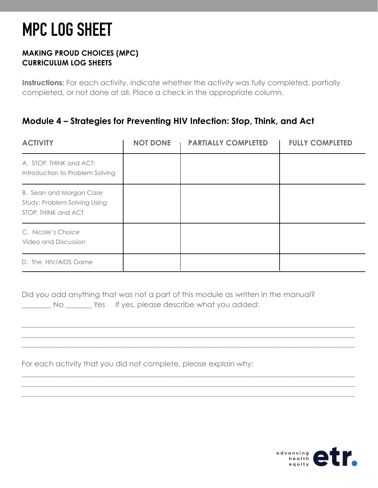#### **MAKING PROUD CHOICES (MPC) CURRICULUM LOG SHEETS**

**Instructions:** For each activity, indicate whether the activity was fully completed, partially completed, or not done at all. Place a check in the appropriate column.

## **Module 4 – Strategies for Preventing HIV Infection: Stop, Think, and Act**

| <b>ACTIVITY</b>                                                                | <b>NOT DONE</b> | <b>PARTIALLY COMPLETED</b> | <b>FULLY COMPLETED</b> |
|--------------------------------------------------------------------------------|-----------------|----------------------------|------------------------|
| A. STOP, THINK and ACT:<br>Introduction to Problem Solving                     |                 |                            |                        |
| B. Sean and Morgan Case<br>Study: Problem Solving Using<br>STOP, THINK and ACT |                 |                            |                        |
| C. Nicole's Choice<br>Video and Discussion                                     |                 |                            |                        |
| D. The HIV/AIDS Game                                                           |                 |                            |                        |

Did you add anything that was not a part of this module as written in the manual? No Wester If yes, please describe what you added:

\_\_\_\_\_\_\_\_\_\_\_\_\_\_\_\_\_\_\_\_\_\_\_\_\_\_\_\_\_\_\_\_\_\_\_\_\_\_\_\_\_\_\_\_\_\_\_\_\_\_\_\_\_\_\_\_\_\_\_\_\_\_\_\_\_\_\_\_\_\_\_\_\_\_\_\_\_\_\_\_\_\_\_\_\_\_\_\_\_\_ \_\_\_\_\_\_\_\_\_\_\_\_\_\_\_\_\_\_\_\_\_\_\_\_\_\_\_\_\_\_\_\_\_\_\_\_\_\_\_\_\_\_\_\_\_\_\_\_\_\_\_\_\_\_\_\_\_\_\_\_\_\_\_\_\_\_\_\_\_\_\_\_\_\_\_\_\_\_\_\_\_\_\_\_\_\_\_\_\_\_ \_\_\_\_\_\_\_\_\_\_\_\_\_\_\_\_\_\_\_\_\_\_\_\_\_\_\_\_\_\_\_\_\_\_\_\_\_\_\_\_\_\_\_\_\_\_\_\_\_\_\_\_\_\_\_\_\_\_\_\_\_\_\_\_\_\_\_\_\_\_\_\_\_\_\_\_\_\_\_\_\_\_\_\_\_\_\_\_\_\_

\_\_\_\_\_\_\_\_\_\_\_\_\_\_\_\_\_\_\_\_\_\_\_\_\_\_\_\_\_\_\_\_\_\_\_\_\_\_\_\_\_\_\_\_\_\_\_\_\_\_\_\_\_\_\_\_\_\_\_\_\_\_\_\_\_\_\_\_\_\_\_\_\_\_\_\_\_\_\_\_\_\_\_\_\_\_\_\_\_\_ \_\_\_\_\_\_\_\_\_\_\_\_\_\_\_\_\_\_\_\_\_\_\_\_\_\_\_\_\_\_\_\_\_\_\_\_\_\_\_\_\_\_\_\_\_\_\_\_\_\_\_\_\_\_\_\_\_\_\_\_\_\_\_\_\_\_\_\_\_\_\_\_\_\_\_\_\_\_\_\_\_\_\_\_\_\_\_\_\_\_ \_\_\_\_\_\_\_\_\_\_\_\_\_\_\_\_\_\_\_\_\_\_\_\_\_\_\_\_\_\_\_\_\_\_\_\_\_\_\_\_\_\_\_\_\_\_\_\_\_\_\_\_\_\_\_\_\_\_\_\_\_\_\_\_\_\_\_\_\_\_\_\_\_\_\_\_\_\_\_\_\_\_\_\_\_\_\_\_\_\_

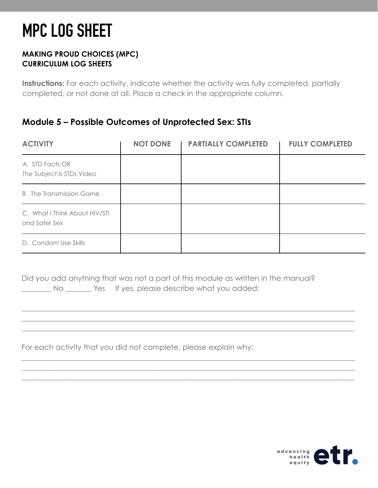#### **MAKING PROUD CHOICES (MPC) CURRICULUM LOG SHEETS**

**Instructions:** For each activity, indicate whether the activity was fully completed, partially completed, or not done at all. Place a check in the appropriate column.

### **Module 5 – Possible Outcomes of Unprotected Sex: STIs**

| <b>ACTIVITY</b>                                | <b>NOT DONE</b> | <b>PARTIALLY COMPLETED</b> | <b>FULLY COMPLETED</b> |
|------------------------------------------------|-----------------|----------------------------|------------------------|
| A. STD Facts OR<br>The Subject Is STDs Video   |                 |                            |                        |
| <b>B.</b> The Transmission Game                |                 |                            |                        |
| C. What I Think About HIV/STI<br>and Safer Sex |                 |                            |                        |
| D. Condom Use Skills                           |                 |                            |                        |

Did you add anything that was not a part of this module as written in the manual? \_\_\_\_\_\_\_\_ No \_\_\_\_\_\_\_ Yes If yes, please describe what you added:

\_\_\_\_\_\_\_\_\_\_\_\_\_\_\_\_\_\_\_\_\_\_\_\_\_\_\_\_\_\_\_\_\_\_\_\_\_\_\_\_\_\_\_\_\_\_\_\_\_\_\_\_\_\_\_\_\_\_\_\_\_\_\_\_\_\_\_\_\_\_\_\_\_\_\_\_\_\_\_\_\_\_\_\_\_\_\_\_\_\_ \_\_\_\_\_\_\_\_\_\_\_\_\_\_\_\_\_\_\_\_\_\_\_\_\_\_\_\_\_\_\_\_\_\_\_\_\_\_\_\_\_\_\_\_\_\_\_\_\_\_\_\_\_\_\_\_\_\_\_\_\_\_\_\_\_\_\_\_\_\_\_\_\_\_\_\_\_\_\_\_\_\_\_\_\_\_\_\_\_\_ \_\_\_\_\_\_\_\_\_\_\_\_\_\_\_\_\_\_\_\_\_\_\_\_\_\_\_\_\_\_\_\_\_\_\_\_\_\_\_\_\_\_\_\_\_\_\_\_\_\_\_\_\_\_\_\_\_\_\_\_\_\_\_\_\_\_\_\_\_\_\_\_\_\_\_\_\_\_\_\_\_\_\_\_\_\_\_\_\_\_

\_\_\_\_\_\_\_\_\_\_\_\_\_\_\_\_\_\_\_\_\_\_\_\_\_\_\_\_\_\_\_\_\_\_\_\_\_\_\_\_\_\_\_\_\_\_\_\_\_\_\_\_\_\_\_\_\_\_\_\_\_\_\_\_\_\_\_\_\_\_\_\_\_\_\_\_\_\_\_\_\_\_\_\_\_\_\_\_\_\_ \_\_\_\_\_\_\_\_\_\_\_\_\_\_\_\_\_\_\_\_\_\_\_\_\_\_\_\_\_\_\_\_\_\_\_\_\_\_\_\_\_\_\_\_\_\_\_\_\_\_\_\_\_\_\_\_\_\_\_\_\_\_\_\_\_\_\_\_\_\_\_\_\_\_\_\_\_\_\_\_\_\_\_\_\_\_\_\_\_\_ \_\_\_\_\_\_\_\_\_\_\_\_\_\_\_\_\_\_\_\_\_\_\_\_\_\_\_\_\_\_\_\_\_\_\_\_\_\_\_\_\_\_\_\_\_\_\_\_\_\_\_\_\_\_\_\_\_\_\_\_\_\_\_\_\_\_\_\_\_\_\_\_\_\_\_\_\_\_\_\_\_\_\_\_\_\_\_\_\_\_

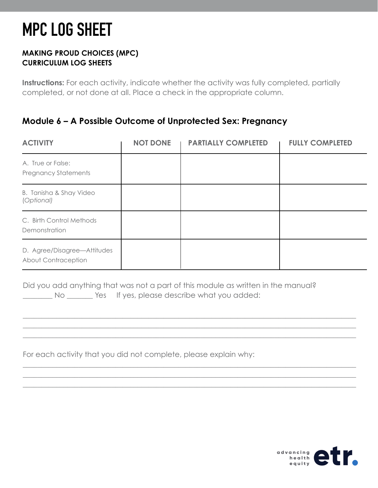#### **MAKING PROUD CHOICES (MPC) CURRICULUM LOG SHEETS**

**Instructions:** For each activity, indicate whether the activity was fully completed, partially completed, or not done at all. Place a check in the appropriate column.

### **Module 6 – A Possible Outcome of Unprotected Sex: Pregnancy**

| <b>ACTIVITY</b>                                    | <b>NOT DONE</b> | <b>PARTIALLY COMPLETED</b> | <b>FULLY COMPLETED</b> |
|----------------------------------------------------|-----------------|----------------------------|------------------------|
| A. True or False:<br><b>Pregnancy Statements</b>   |                 |                            |                        |
| B. Tanisha & Shay Video<br>(Optional)              |                 |                            |                        |
| C. Birth Control Methods<br>Demonstration          |                 |                            |                        |
| D. Agree/Disagree-Attitudes<br>About Contraception |                 |                            |                        |

Did you add anything that was not a part of this module as written in the manual? No Wes If yes, please describe what you added:

\_\_\_\_\_\_\_\_\_\_\_\_\_\_\_\_\_\_\_\_\_\_\_\_\_\_\_\_\_\_\_\_\_\_\_\_\_\_\_\_\_\_\_\_\_\_\_\_\_\_\_\_\_\_\_\_\_\_\_\_\_\_\_\_\_\_\_\_\_\_\_\_\_\_\_\_\_\_\_\_\_\_\_\_\_\_\_\_\_\_ \_\_\_\_\_\_\_\_\_\_\_\_\_\_\_\_\_\_\_\_\_\_\_\_\_\_\_\_\_\_\_\_\_\_\_\_\_\_\_\_\_\_\_\_\_\_\_\_\_\_\_\_\_\_\_\_\_\_\_\_\_\_\_\_\_\_\_\_\_\_\_\_\_\_\_\_\_\_\_\_\_\_\_\_\_\_\_\_\_\_ \_\_\_\_\_\_\_\_\_\_\_\_\_\_\_\_\_\_\_\_\_\_\_\_\_\_\_\_\_\_\_\_\_\_\_\_\_\_\_\_\_\_\_\_\_\_\_\_\_\_\_\_\_\_\_\_\_\_\_\_\_\_\_\_\_\_\_\_\_\_\_\_\_\_\_\_\_\_\_\_\_\_\_\_\_\_\_\_\_\_

\_\_\_\_\_\_\_\_\_\_\_\_\_\_\_\_\_\_\_\_\_\_\_\_\_\_\_\_\_\_\_\_\_\_\_\_\_\_\_\_\_\_\_\_\_\_\_\_\_\_\_\_\_\_\_\_\_\_\_\_\_\_\_\_\_\_\_\_\_\_\_\_\_\_\_\_\_\_\_\_\_\_\_\_\_\_\_\_\_\_ \_\_\_\_\_\_\_\_\_\_\_\_\_\_\_\_\_\_\_\_\_\_\_\_\_\_\_\_\_\_\_\_\_\_\_\_\_\_\_\_\_\_\_\_\_\_\_\_\_\_\_\_\_\_\_\_\_\_\_\_\_\_\_\_\_\_\_\_\_\_\_\_\_\_\_\_\_\_\_\_\_\_\_\_\_\_\_\_\_\_ \_\_\_\_\_\_\_\_\_\_\_\_\_\_\_\_\_\_\_\_\_\_\_\_\_\_\_\_\_\_\_\_\_\_\_\_\_\_\_\_\_\_\_\_\_\_\_\_\_\_\_\_\_\_\_\_\_\_\_\_\_\_\_\_\_\_\_\_\_\_\_\_\_\_\_\_\_\_\_\_\_\_\_\_\_\_\_\_\_\_

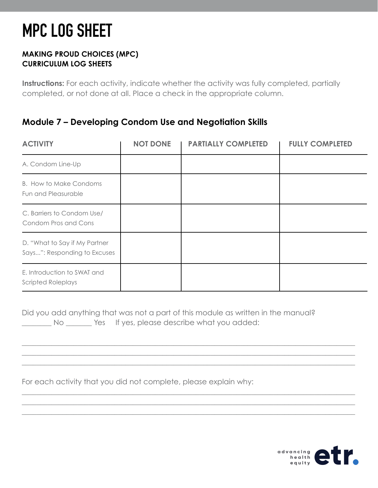#### **MAKING PROUD CHOICES (MPC) CURRICULUM LOG SHEETS**

**Instructions:** For each activity, indicate whether the activity was fully completed, partially completed, or not done at all. Place a check in the appropriate column.

### **Module 7 – Developing Condom Use and Negotiation Skills**

| <b>ACTIVITY</b>                                               | <b>NOT DONE</b> | <b>PARTIALLY COMPLETED</b> | <b>FULLY COMPLETED</b> |
|---------------------------------------------------------------|-----------------|----------------------------|------------------------|
| A. Condom Line-Up                                             |                 |                            |                        |
| <b>B.</b> How to Make Condoms<br>Fun and Pleasurable          |                 |                            |                        |
| C. Barriers to Condom Use/<br>Condom Pros and Cons            |                 |                            |                        |
| D. "What to Say if My Partner<br>Says": Responding to Excuses |                 |                            |                        |
| E. Introduction to SWAT and<br><b>Scripted Roleplays</b>      |                 |                            |                        |

Did you add anything that was not a part of this module as written in the manual? No Wes If yes, please describe what you added:

\_\_\_\_\_\_\_\_\_\_\_\_\_\_\_\_\_\_\_\_\_\_\_\_\_\_\_\_\_\_\_\_\_\_\_\_\_\_\_\_\_\_\_\_\_\_\_\_\_\_\_\_\_\_\_\_\_\_\_\_\_\_\_\_\_\_\_\_\_\_\_\_\_\_\_\_\_\_\_\_\_\_\_\_\_\_\_\_\_\_ \_\_\_\_\_\_\_\_\_\_\_\_\_\_\_\_\_\_\_\_\_\_\_\_\_\_\_\_\_\_\_\_\_\_\_\_\_\_\_\_\_\_\_\_\_\_\_\_\_\_\_\_\_\_\_\_\_\_\_\_\_\_\_\_\_\_\_\_\_\_\_\_\_\_\_\_\_\_\_\_\_\_\_\_\_\_\_\_\_\_ \_\_\_\_\_\_\_\_\_\_\_\_\_\_\_\_\_\_\_\_\_\_\_\_\_\_\_\_\_\_\_\_\_\_\_\_\_\_\_\_\_\_\_\_\_\_\_\_\_\_\_\_\_\_\_\_\_\_\_\_\_\_\_\_\_\_\_\_\_\_\_\_\_\_\_\_\_\_\_\_\_\_\_\_\_\_\_\_\_\_

\_\_\_\_\_\_\_\_\_\_\_\_\_\_\_\_\_\_\_\_\_\_\_\_\_\_\_\_\_\_\_\_\_\_\_\_\_\_\_\_\_\_\_\_\_\_\_\_\_\_\_\_\_\_\_\_\_\_\_\_\_\_\_\_\_\_\_\_\_\_\_\_\_\_\_\_\_\_\_\_\_\_\_\_\_\_\_\_\_\_ \_\_\_\_\_\_\_\_\_\_\_\_\_\_\_\_\_\_\_\_\_\_\_\_\_\_\_\_\_\_\_\_\_\_\_\_\_\_\_\_\_\_\_\_\_\_\_\_\_\_\_\_\_\_\_\_\_\_\_\_\_\_\_\_\_\_\_\_\_\_\_\_\_\_\_\_\_\_\_\_\_\_\_\_\_\_\_\_\_\_ \_\_\_\_\_\_\_\_\_\_\_\_\_\_\_\_\_\_\_\_\_\_\_\_\_\_\_\_\_\_\_\_\_\_\_\_\_\_\_\_\_\_\_\_\_\_\_\_\_\_\_\_\_\_\_\_\_\_\_\_\_\_\_\_\_\_\_\_\_\_\_\_\_\_\_\_\_\_\_\_\_\_\_\_\_\_\_\_\_\_